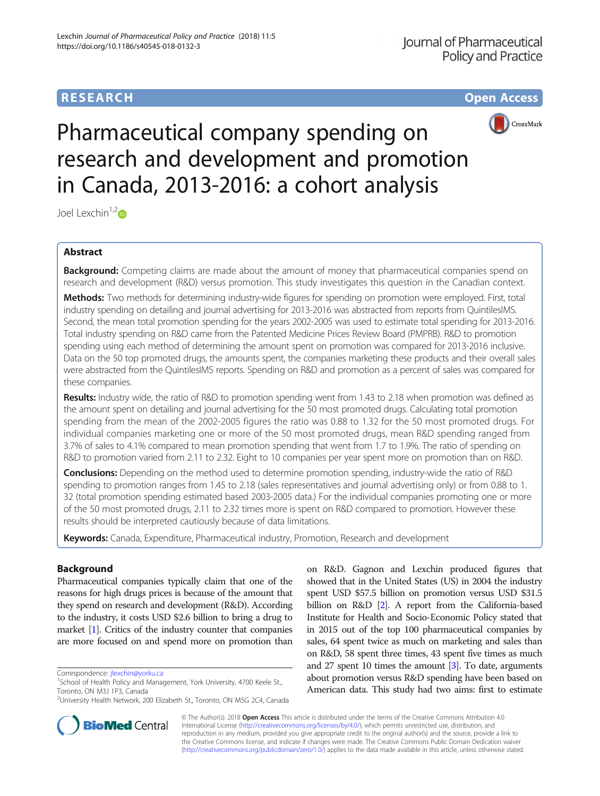# **RESEARCH CHE Open Access**



# Pharmaceutical company spending on research and development and promotion in Canada, 2013-2016: a cohort analysis

Joel Lexchin<sup>1,2</sup><sup>o</sup>

# Abstract

**Background:** Competing claims are made about the amount of money that pharmaceutical companies spend on research and development (R&D) versus promotion. This study investigates this question in the Canadian context.

Methods: Two methods for determining industry-wide figures for spending on promotion were employed. First, total industry spending on detailing and journal advertising for 2013-2016 was abstracted from reports from QuintilesIMS. Second, the mean total promotion spending for the years 2002-2005 was used to estimate total spending for 2013-2016. Total industry spending on R&D came from the Patented Medicine Prices Review Board (PMPRB). R&D to promotion spending using each method of determining the amount spent on promotion was compared for 2013-2016 inclusive. Data on the 50 top promoted drugs, the amounts spent, the companies marketing these products and their overall sales were abstracted from the QuintilesIMS reports. Spending on R&D and promotion as a percent of sales was compared for these companies.

Results: Industry wide, the ratio of R&D to promotion spending went from 1.43 to 2.18 when promotion was defined as the amount spent on detailing and journal advertising for the 50 most promoted drugs. Calculating total promotion spending from the mean of the 2002-2005 figures the ratio was 0.88 to 1.32 for the 50 most promoted drugs. For individual companies marketing one or more of the 50 most promoted drugs, mean R&D spending ranged from 3.7% of sales to 4.1% compared to mean promotion spending that went from 1.7 to 1.9%. The ratio of spending on R&D to promotion varied from 2.11 to 2.32. Eight to 10 companies per year spent more on promotion than on R&D.

Conclusions: Depending on the method used to determine promotion spending, industry-wide the ratio of R&D spending to promotion ranges from 1.45 to 2.18 (sales representatives and journal advertising only) or from 0.88 to 1. 32 (total promotion spending estimated based 2003-2005 data.) For the individual companies promoting one or more of the 50 most promoted drugs, 2.11 to 2.32 times more is spent on R&D compared to promotion. However these results should be interpreted cautiously because of data limitations.

Keywords: Canada, Expenditure, Pharmaceutical industry, Promotion, Research and development

# Background

Pharmaceutical companies typically claim that one of the reasons for high drugs prices is because of the amount that they spend on research and development (R&D). According to the industry, it costs USD \$2.6 billion to bring a drug to market [\[1\]](#page-5-0). Critics of the industry counter that companies are more focused on and spend more on promotion than

Correspondence: [jlexchin@yorku.ca](mailto:jlexchin@yorku.ca) <sup>1</sup>

on R&D. Gagnon and Lexchin produced figures that showed that in the United States (US) in 2004 the industry spent USD \$57.5 billion on promotion versus USD \$31.5 billion on R&D [\[2](#page-5-0)]. A report from the California-based Institute for Health and Socio-Economic Policy stated that in 2015 out of the top 100 pharmaceutical companies by sales, 64 spent twice as much on marketing and sales than on R&D, 58 spent three times, 43 spent five times as much and 27 spent 10 times the amount [\[3\]](#page-5-0). To date, arguments about promotion versus R&D spending have been based on American data. This study had two aims: first to estimate



© The Author(s). 2018 Open Access This article is distributed under the terms of the Creative Commons Attribution 4.0 International License [\(http://creativecommons.org/licenses/by/4.0/](http://creativecommons.org/licenses/by/4.0/)), which permits unrestricted use, distribution, and reproduction in any medium, provided you give appropriate credit to the original author(s) and the source, provide a link to the Creative Commons license, and indicate if changes were made. The Creative Commons Public Domain Dedication waiver [\(http://creativecommons.org/publicdomain/zero/1.0/](http://creativecommons.org/publicdomain/zero/1.0/)) applies to the data made available in this article, unless otherwise stated.

<sup>&</sup>lt;sup>1</sup>School of Health Policy and Management, York University, 4700 Keele St., Toronto, ON M3J 1P3, Canada

<sup>&</sup>lt;sup>2</sup>University Health Network, 200 Elizabeth St., Toronto, ON M5G 2C4, Canada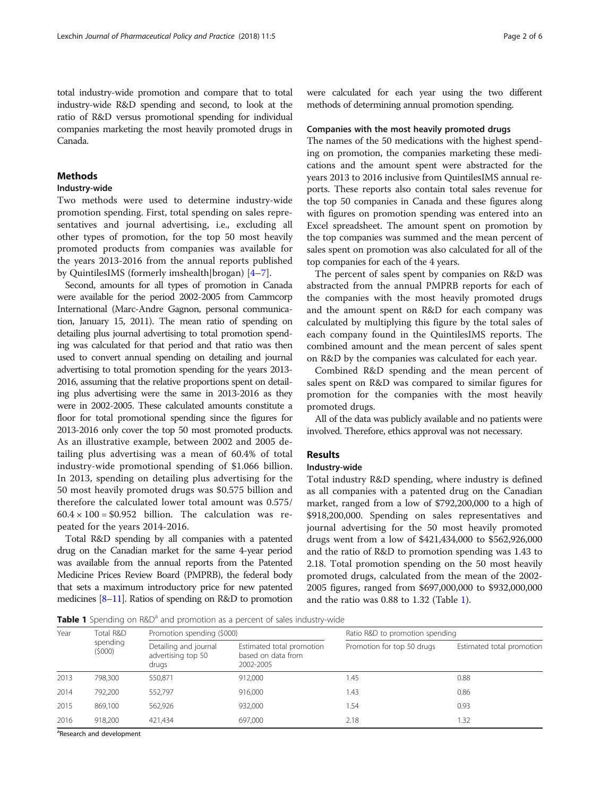total industry-wide promotion and compare that to total industry-wide R&D spending and second, to look at the ratio of R&D versus promotional spending for individual companies marketing the most heavily promoted drugs in Canada.

# **Methods**

# Industry-wide

Two methods were used to determine industry-wide promotion spending. First, total spending on sales representatives and journal advertising, i.e., excluding all other types of promotion, for the top 50 most heavily promoted products from companies was available for the years 2013-2016 from the annual reports published by QuintilesIMS (formerly imshealth|brogan) [[4](#page-5-0)–[7](#page-5-0)].

Second, amounts for all types of promotion in Canada were available for the period 2002-2005 from Cammcorp International (Marc-Andre Gagnon, personal communication, January 15, 2011). The mean ratio of spending on detailing plus journal advertising to total promotion spending was calculated for that period and that ratio was then used to convert annual spending on detailing and journal advertising to total promotion spending for the years 2013- 2016, assuming that the relative proportions spent on detailing plus advertising were the same in 2013-2016 as they were in 2002-2005. These calculated amounts constitute a floor for total promotional spending since the figures for 2013-2016 only cover the top 50 most promoted products. As an illustrative example, between 2002 and 2005 detailing plus advertising was a mean of 60.4% of total industry-wide promotional spending of \$1.066 billion. In 2013, spending on detailing plus advertising for the 50 most heavily promoted drugs was \$0.575 billion and therefore the calculated lower total amount was 0.575/  $60.4 \times 100 = $0.952$  billion. The calculation was repeated for the years 2014-2016.

Total R&D spending by all companies with a patented drug on the Canadian market for the same 4-year period was available from the annual reports from the Patented Medicine Prices Review Board (PMPRB), the federal body that sets a maximum introductory price for new patented medicines [\[8](#page-5-0)–[11\]](#page-5-0). Ratios of spending on R&D to promotion were calculated for each year using the two different methods of determining annual promotion spending.

#### Companies with the most heavily promoted drugs

The names of the 50 medications with the highest spending on promotion, the companies marketing these medications and the amount spent were abstracted for the years 2013 to 2016 inclusive from QuintilesIMS annual reports. These reports also contain total sales revenue for the top 50 companies in Canada and these figures along with figures on promotion spending was entered into an Excel spreadsheet. The amount spent on promotion by the top companies was summed and the mean percent of sales spent on promotion was also calculated for all of the top companies for each of the 4 years.

The percent of sales spent by companies on R&D was abstracted from the annual PMPRB reports for each of the companies with the most heavily promoted drugs and the amount spent on R&D for each company was calculated by multiplying this figure by the total sales of each company found in the QuintilesIMS reports. The combined amount and the mean percent of sales spent on R&D by the companies was calculated for each year.

Combined R&D spending and the mean percent of sales spent on R&D was compared to similar figures for promotion for the companies with the most heavily promoted drugs.

All of the data was publicly available and no patients were involved. Therefore, ethics approval was not necessary.

# **Results**

# Industry-wide

Total industry R&D spending, where industry is defined as all companies with a patented drug on the Canadian market, ranged from a low of \$792,200,000 to a high of \$918,200,000. Spending on sales representatives and journal advertising for the 50 most heavily promoted drugs went from a low of \$421,434,000 to \$562,926,000 and the ratio of R&D to promotion spending was 1.43 to 2.18. Total promotion spending on the 50 most heavily promoted drugs, calculated from the mean of the 2002- 2005 figures, ranged from \$697,000,000 to \$932,000,000 and the ratio was 0.88 to 1.32 (Table 1).

Table 1 Spending on R&D<sup>a</sup> and promotion as a percent of sales industry-wide

| Year | Total R&D<br>spending<br>(\$000) | Promotion spending (\$000)                           |                                                              | Ratio R&D to promotion spending |                           |  |  |
|------|----------------------------------|------------------------------------------------------|--------------------------------------------------------------|---------------------------------|---------------------------|--|--|
|      |                                  | Detailing and journal<br>advertising top 50<br>drugs | Estimated total promotion<br>based on data from<br>2002-2005 | Promotion for top 50 drugs      | Estimated total promotion |  |  |
| 2013 | 798.300                          | 550,871                                              | 912,000                                                      | 1.45                            | 0.88                      |  |  |
| 2014 | 792.200                          | 552,797                                              | 916,000                                                      | 1.43                            | 0.86                      |  |  |
| 2015 | 869.100                          | 562,926                                              | 932,000                                                      | 1.54                            | 0.93                      |  |  |
| 2016 | 918.200                          | 421.434                                              | 697.000                                                      | 2.18                            | 1.32                      |  |  |

<sup>a</sup>Research and development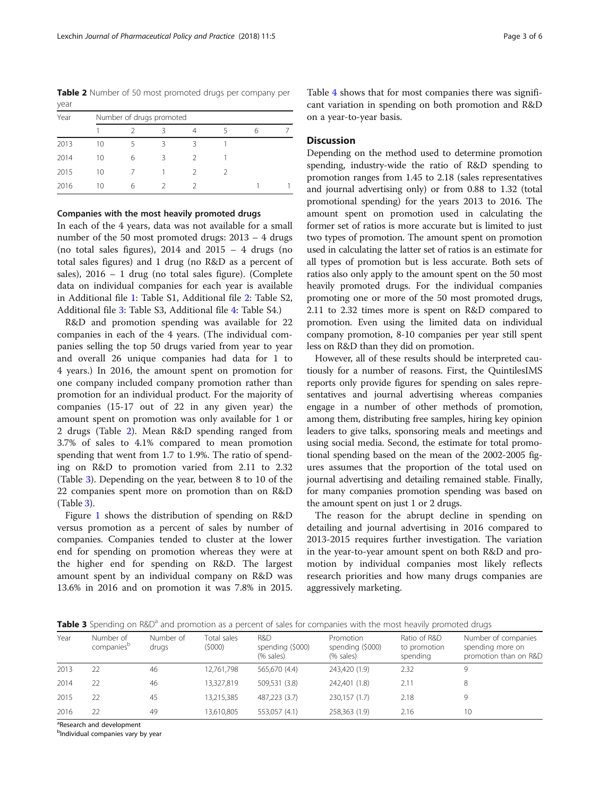Table 2 Number of 50 most promoted drugs per company per year

| Year | Number of drugs promoted |   |   |  |  |  |  |  |  |
|------|--------------------------|---|---|--|--|--|--|--|--|
|      |                          |   |   |  |  |  |  |  |  |
| 2013 | 10                       |   |   |  |  |  |  |  |  |
| 2014 | 10                       | 6 | 3 |  |  |  |  |  |  |
| 2015 | 10                       |   |   |  |  |  |  |  |  |
| 2016 | 10                       | 6 |   |  |  |  |  |  |  |

## Companies with the most heavily promoted drugs

In each of the 4 years, data was not available for a small number of the 50 most promoted drugs: 2013 – 4 drugs (no total sales figures),  $2014$  and  $2015 - 4$  drugs (no total sales figures) and 1 drug (no R&D as a percent of sales), 2016 – 1 drug (no total sales figure). (Complete data on individual companies for each year is available in Additional file [1:](#page-4-0) Table S1, Additional file [2:](#page-4-0) Table S2, Additional file [3](#page-4-0): Table S3, Additional file [4](#page-4-0): Table S4.)

R&D and promotion spending was available for 22 companies in each of the 4 years. (The individual companies selling the top 50 drugs varied from year to year and overall 26 unique companies had data for 1 to 4 years.) In 2016, the amount spent on promotion for one company included company promotion rather than promotion for an individual product. For the majority of companies (15-17 out of 22 in any given year) the amount spent on promotion was only available for 1 or 2 drugs (Table 2). Mean R&D spending ranged from 3.7% of sales to 4.1% compared to mean promotion spending that went from 1.7 to 1.9%. The ratio of spending on R&D to promotion varied from 2.11 to 2.32 (Table 3). Depending on the year, between 8 to 10 of the 22 companies spent more on promotion than on R&D (Table 3).

Figure [1](#page-3-0) shows the distribution of spending on R&D versus promotion as a percent of sales by number of companies. Companies tended to cluster at the lower end for spending on promotion whereas they were at the higher end for spending on R&D. The largest amount spent by an individual company on R&D was 13.6% in 2016 and on promotion it was 7.8% in 2015.

Table [4](#page-3-0) shows that for most companies there was significant variation in spending on both promotion and R&D on a year-to-year basis.

# **Discussion**

Depending on the method used to determine promotion spending, industry-wide the ratio of R&D spending to promotion ranges from 1.45 to 2.18 (sales representatives and journal advertising only) or from 0.88 to 1.32 (total promotional spending) for the years 2013 to 2016. The amount spent on promotion used in calculating the former set of ratios is more accurate but is limited to just two types of promotion. The amount spent on promotion used in calculating the latter set of ratios is an estimate for all types of promotion but is less accurate. Both sets of ratios also only apply to the amount spent on the 50 most heavily promoted drugs. For the individual companies promoting one or more of the 50 most promoted drugs, 2.11 to 2.32 times more is spent on R&D compared to promotion. Even using the limited data on individual company promotion, 8-10 companies per year still spent less on R&D than they did on promotion.

However, all of these results should be interpreted cautiously for a number of reasons. First, the QuintilesIMS reports only provide figures for spending on sales representatives and journal advertising whereas companies engage in a number of other methods of promotion, among them, distributing free samples, hiring key opinion leaders to give talks, sponsoring meals and meetings and using social media. Second, the estimate for total promotional spending based on the mean of the 2002-2005 figures assumes that the proportion of the total used on journal advertising and detailing remained stable. Finally, for many companies promotion spending was based on the amount spent on just 1 or 2 drugs.

The reason for the abrupt decline in spending on detailing and journal advertising in 2016 compared to 2013-2015 requires further investigation. The variation in the year-to-year amount spent on both R&D and promotion by individual companies most likely reflects research priorities and how many drugs companies are aggressively marketing.

Table 3 Spending on R&D<sup>a</sup> and promotion as a percent of sales for companies with the most heavily promoted drugs

| Year | Number of<br>companies <sup>b</sup> | Number of<br>drugs | Total sales<br>(5000) | R&D<br>spending (\$000)<br>(% sales) | Promotion<br>spending (\$000)<br>(% sales) | Ratio of R&D<br>to promotion<br>spending | Number of companies<br>spending more on<br>promotion than on R&D |
|------|-------------------------------------|--------------------|-----------------------|--------------------------------------|--------------------------------------------|------------------------------------------|------------------------------------------------------------------|
| 2013 | 22                                  | 46                 | 12,761,798            | 565,670 (4.4)                        | 243.420 (1.9)                              | 2.32                                     | Q                                                                |
| 2014 | 22                                  | 46                 | 13,327,819            | 509,531 (3.8)                        | 242,401 (1.8)                              | 2.11                                     | 8                                                                |
| 2015 | 22                                  | 45                 | 13,215,385            | 487.223 (3.7)                        | 230,157 (1.7)                              | 2.18                                     |                                                                  |
| 2016 | 22                                  | 49                 | 13,610,805            | 553.057 (4.1)                        | 258,363 (1.9)                              | 2.16                                     | 10 <sup>2</sup>                                                  |

<sup>a</sup>Research and development

<sup>b</sup>Individual companies vary by year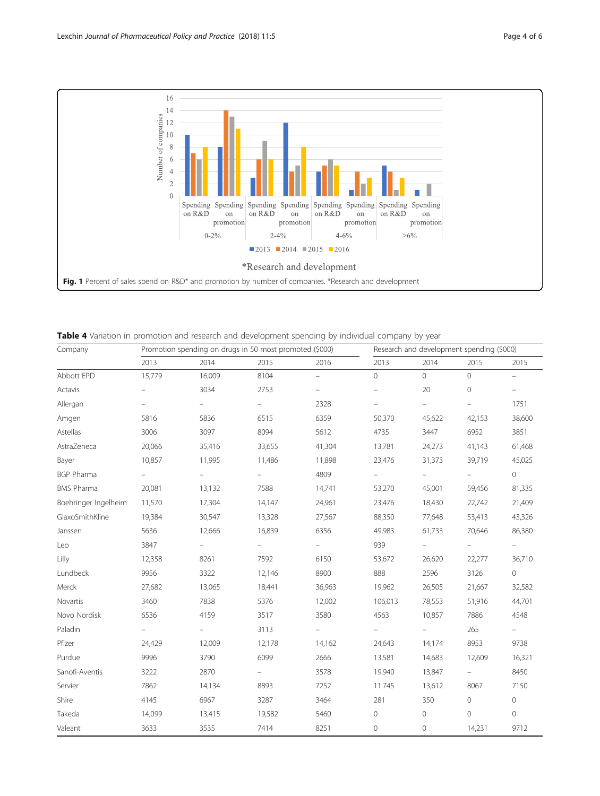<span id="page-3-0"></span>

| Table 4 Variation in promotion and research and development spending by individual company by year |  |  |  |  |  |  |  |
|----------------------------------------------------------------------------------------------------|--|--|--|--|--|--|--|
|----------------------------------------------------------------------------------------------------|--|--|--|--|--|--|--|

| Company              | Promotion spending on drugs in 50 most promoted (\$000) |                          |                          |                          | Research and development spending (\$000) |         |                          |                     |
|----------------------|---------------------------------------------------------|--------------------------|--------------------------|--------------------------|-------------------------------------------|---------|--------------------------|---------------------|
|                      | 2013                                                    | 2014                     | 2015                     | 2016                     | 2013                                      | 2014    | 2015                     | 2015                |
| Abbott EPD           | 15,779                                                  | 16,009                   | 8104                     | $\equiv$                 | $\circ$                                   | $\circ$ | $\mathbf 0$              | $\equiv$            |
| Actavis              |                                                         | 3034                     | 2753                     | $\qquad \qquad -$        | $\overline{\phantom{m}}$                  | 20      | $\circ$                  | $\equiv$            |
| Allergan             | $\equiv$                                                |                          | $\overline{\phantom{0}}$ | 2328                     | -                                         | ÷       | $\equiv$                 | 1751                |
| Amgen                | 5816                                                    | 5836                     | 6515                     | 6359                     | 50,370                                    | 45,622  | 42,153                   | 38,600              |
| Astellas             | 3006                                                    | 3097                     | 8094                     | 5612                     | 4735                                      | 3447    | 6952                     | 3851                |
| AstraZeneca          | 20,066                                                  | 35,416                   | 33,655                   | 41,304                   | 13,781                                    | 24,273  | 41,143                   | 61,468              |
| Bayer                | 10,857                                                  | 11,995                   | 11,486                   | 11,898                   | 23,476                                    | 31,373  | 39,719                   | 45,025              |
| <b>BGP Pharma</b>    | $\overline{\phantom{0}}$                                | $\overline{\phantom{0}}$ | $=$                      | 4809                     | $\equiv$                                  | -       | ÷                        | $\circ$             |
| <b>BMS Pharma</b>    | 20,081                                                  | 13,132                   | 7588                     | 14,741                   | 53,270                                    | 45,001  | 59,456                   | 81,335              |
| Boehringer Ingelheim | 11,570                                                  | 17,304                   | 14,147                   | 24,961                   | 23,476                                    | 18,430  | 22,742                   | 21,409              |
| GlaxoSmithKline      | 19,384                                                  | 30,547                   | 13,328                   | 27,567                   | 88,350                                    | 77,648  | 53,413                   | 43,326              |
| Janssen              | 5636                                                    | 12,666                   | 16,839                   | 6356                     | 49,983                                    | 61,733  | 70,646                   | 86,380              |
| Leo                  | 3847                                                    | $\qquad \qquad -$        | $\overline{\phantom{0}}$ | $\overline{\phantom{m}}$ | 939                                       |         | $\overline{\phantom{m}}$ | $\equiv$            |
| Lilly                | 12,358                                                  | 8261                     | 7592                     | 6150                     | 53,672                                    | 26,620  | 22,277                   | 36,710              |
| Lundbeck             | 9956                                                    | 3322                     | 12,146                   | 8900                     | 888                                       | 2596    | 3126                     | $\mathbf 0$         |
| Merck                | 27,682                                                  | 13,065                   | 18,441                   | 36,963                   | 19,962                                    | 26,505  | 21,667                   | 32,582              |
| Novartis             | 3460                                                    | 7838                     | 5376                     | 12,002                   | 106,013                                   | 78,553  | 51,916                   | 44,701              |
| Novo Nordisk         | 6536                                                    | 4159                     | 3517                     | 3580                     | 4563                                      | 10,857  | 7886                     | 4548                |
| Paladin              | $\overline{\phantom{m}}$                                |                          | 3113                     |                          | $\overline{\phantom{a}}$                  |         | 265                      | $\equiv$            |
| Pfizer               | 24,429                                                  | 12,009                   | 12,178                   | 14,162                   | 24,643                                    | 14,174  | 8953                     | 9738                |
| Purdue               | 9996                                                    | 3790                     | 6099                     | 2666                     | 13,581                                    | 14,683  | 12,609                   | 16,321              |
| Sanofi-Aventis       | 3222                                                    | 2870                     | $\overline{\phantom{0}}$ | 3578                     | 19,940                                    | 13,847  | $\equiv$                 | 8450                |
| Servier              | 7862                                                    | 14,134                   | 8893                     | 7252                     | 11.745                                    | 13,612  | 8067                     | 7150                |
| Shire                | 4145                                                    | 6967                     | 3287                     | 3464                     | 281                                       | 350     | $\mathbf 0$              | $\mathsf{O}\xspace$ |
| Takeda               | 14,099                                                  | 13,415                   | 19,582                   | 5460                     | 0                                         | 0       | $\mathbf 0$              | $\mathbf 0$         |
| Valeant              | 3633                                                    | 3535                     | 7414                     | 8251                     | $\mathbf 0$                               | 0       | 14,231                   | 9712                |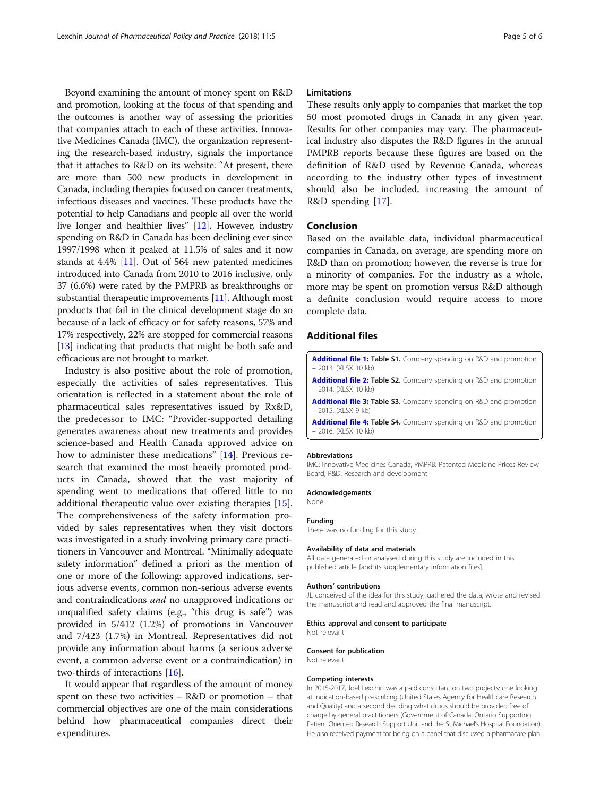<span id="page-4-0"></span>Beyond examining the amount of money spent on R&D and promotion, looking at the focus of that spending and the outcomes is another way of assessing the priorities that companies attach to each of these activities. Innovative Medicines Canada (IMC), the organization representing the research-based industry, signals the importance that it attaches to R&D on its website: "At present, there are more than 500 new products in development in Canada, including therapies focused on cancer treatments, infectious diseases and vaccines. These products have the potential to help Canadians and people all over the world live longer and healthier lives" [\[12\]](#page-5-0). However, industry spending on R&D in Canada has been declining ever since 1997/1998 when it peaked at 11.5% of sales and it now stands at 4.4% [[11](#page-5-0)]. Out of 564 new patented medicines introduced into Canada from 2010 to 2016 inclusive, only 37 (6.6%) were rated by the PMPRB as breakthroughs or substantial therapeutic improvements [[11\]](#page-5-0). Although most products that fail in the clinical development stage do so because of a lack of efficacy or for safety reasons, 57% and 17% respectively, 22% are stopped for commercial reasons [[13](#page-5-0)] indicating that products that might be both safe and efficacious are not brought to market.

Industry is also positive about the role of promotion, especially the activities of sales representatives. This orientation is reflected in a statement about the role of pharmaceutical sales representatives issued by Rx&D, the predecessor to IMC: "Provider-supported detailing generates awareness about new treatments and provides science-based and Health Canada approved advice on how to administer these medications" [\[14](#page-5-0)]. Previous research that examined the most heavily promoted products in Canada, showed that the vast majority of spending went to medications that offered little to no additional therapeutic value over existing therapies [\[15](#page-5-0)]. The comprehensiveness of the safety information provided by sales representatives when they visit doctors was investigated in a study involving primary care practitioners in Vancouver and Montreal. "Minimally adequate safety information" defined a priori as the mention of one or more of the following: approved indications, serious adverse events, common non-serious adverse events and contraindications and no unapproved indications or unqualified safety claims (e.g., "this drug is safe") was provided in 5/412 (1.2%) of promotions in Vancouver and 7/423 (1.7%) in Montreal. Representatives did not provide any information about harms (a serious adverse event, a common adverse event or a contraindication) in two-thirds of interactions [\[16\]](#page-5-0).

It would appear that regardless of the amount of money spent on these two activities – R&D or promotion – that commercial objectives are one of the main considerations behind how pharmaceutical companies direct their expenditures.

# Limitations

These results only apply to companies that market the top 50 most promoted drugs in Canada in any given year. Results for other companies may vary. The pharmaceutical industry also disputes the R&D figures in the annual PMPRB reports because these figures are based on the definition of R&D used by Revenue Canada, whereas according to the industry other types of investment should also be included, increasing the amount of R&D spending [[17\]](#page-5-0).

## Conclusion

Based on the available data, individual pharmaceutical companies in Canada, on average, are spending more on R&D than on promotion; however, the reverse is true for a minority of companies. For the industry as a whole, more may be spent on promotion versus R&D although a definite conclusion would require access to more complete data.

## Additional files

- [Additional file 1:](https://doi.org/10.1186/s40545-018-0132-3) Table S1. Company spending on R&D and promotion – 2013. (XLSX 10 kb) [Additional file 2:](https://doi.org/10.1186/s40545-018-0132-3) Table S2. Company spending on R&D and promotion
- 2014. (XLSX 10 kb)

[Additional file 3:](https://doi.org/10.1186/s40545-018-0132-3) Table S3. Company spending on R&D and promotion – 2015. (XLSX 9 kb)

[Additional file 4:](https://doi.org/10.1186/s40545-018-0132-3) Table S4. Company spending on R&D and promotion – 2016. (XLSX 10 kb)

#### Abbreviations

IMC: Innovative Medicines Canada; PMPRB: Patented Medicine Prices Review Board; R&D: Research and development

#### Acknowledgements

None.

#### Funding

There was no funding for this study.

#### Availability of data and materials

All data generated or analysed during this study are included in this published article [and its supplementary information files].

#### Authors' contributions

JL conceived of the idea for this study, gathered the data, wrote and revised the manuscript and read and approved the final manuscript.

#### Ethics approval and consent to participate

Not relevant

#### Consent for publication

Not relevant.

#### Competing interests

In 2015-2017, Joel Lexchin was a paid consultant on two projects: one looking at indication-based prescribing (United States Agency for Healthcare Research and Quality) and a second deciding what drugs should be provided free of charge by general practitioners (Government of Canada, Ontario Supporting Patient Oriented Research Support Unit and the St Michael's Hospital Foundation). He also received payment for being on a panel that discussed a pharmacare plan